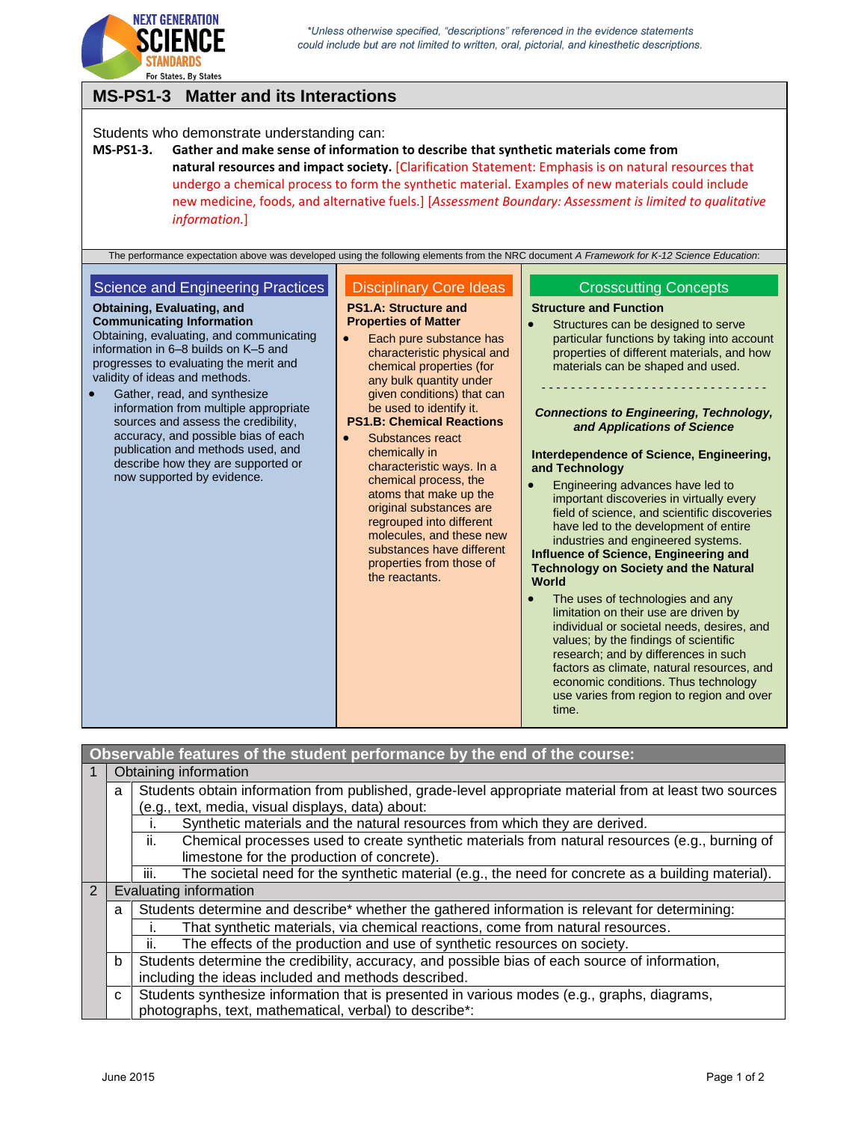

## **MS-PS1-3 Matter and its Interactions**

### Students who demonstrate understanding can:

**MS-PS1-3. Gather and make sense of information to describe that synthetic materials come from natural resources and impact society.** [Clarification Statement: Emphasis is on natural resources that undergo a chemical process to form the synthetic material. Examples of new materials could include new medicine, foods, and alternative fuels.] [*Assessment Boundary: Assessment is limited to qualitative information.*]

The performance expectation above was developed using the following elements from the NRC document *A Framework for K-12 Science Education*:

### Science and Engineering Practices

### **Obtaining, Evaluating, and**

**Communicating Information** Obtaining, evaluating, and communicating information in 6–8 builds on K–5 and progresses to evaluating the merit and validity of ideas and methods.

 Gather, read, and synthesize information from multiple appropriate sources and assess the credibility, accuracy, and possible bias of each publication and methods used, and describe how they are supported or now supported by evidence.

### Disciplinary Core Ideas

#### **PS1.A: Structure and Properties of Matter**

• Each pure substance has characteristic physical and chemical properties (for any bulk quantity under given conditions) that can be used to identify it.

## **PS1.B: Chemical Reactions**

 Substances react chemically in characteristic ways. In a chemical process, the atoms that make up the original substances are regrouped into different molecules, and these new substances have different properties from those of the reactants.

## Crosscutting Concepts **Structure and Function**

 Structures can be designed to serve particular functions by taking into account properties of different materials, and how materials can be shaped and used.

# - - - - - - - - - - - - - - - - - - - - - - - - - - - - - - -

*Connections to Engineering, Technology, and Applications of Science*

#### **Interdependence of Science, Engineering, and Technology**

 Engineering advances have led to important discoveries in virtually every field of science, and scientific discoveries have led to the development of entire industries and engineered systems.

### **Influence of Science, Engineering and Technology on Society and the Natural World**

 The uses of technologies and any limitation on their use are driven by individual or societal needs, desires, and values; by the findings of scientific research; and by differences in such factors as climate, natural resources, and economic conditions. Thus technology use varies from region to region and over time.

|                                                     |                                                                                                             | Observable features of the student performance by the end of the course:                                 |  |  |
|-----------------------------------------------------|-------------------------------------------------------------------------------------------------------------|----------------------------------------------------------------------------------------------------------|--|--|
| 1                                                   |                                                                                                             | Obtaining information                                                                                    |  |  |
|                                                     | Students obtain information from published, grade-level appropriate material from at least two sources<br>a |                                                                                                          |  |  |
| (e.g., text, media, visual displays, data) about:   |                                                                                                             |                                                                                                          |  |  |
|                                                     |                                                                                                             | Synthetic materials and the natural resources from which they are derived.                               |  |  |
|                                                     |                                                                                                             | ii.<br>Chemical processes used to create synthetic materials from natural resources (e.g., burning of    |  |  |
|                                                     |                                                                                                             | limestone for the production of concrete).                                                               |  |  |
|                                                     |                                                                                                             | The societal need for the synthetic material (e.g., the need for concrete as a building material).<br>Ш. |  |  |
| $\overline{2}$                                      |                                                                                                             | Evaluating information                                                                                   |  |  |
|                                                     | a                                                                                                           | Students determine and describe* whether the gathered information is relevant for determining:           |  |  |
|                                                     |                                                                                                             | That synthetic materials, via chemical reactions, come from natural resources.                           |  |  |
|                                                     |                                                                                                             | The effects of the production and use of synthetic resources on society.<br>ii.                          |  |  |
|                                                     | b                                                                                                           | Students determine the credibility, accuracy, and possible bias of each source of information,           |  |  |
| including the ideas included and methods described. |                                                                                                             |                                                                                                          |  |  |
|                                                     | $\mathbf{C}$                                                                                                | Students synthesize information that is presented in various modes (e.g., graphs, diagrams,              |  |  |
|                                                     | photographs, text, mathematical, verbal) to describe*:                                                      |                                                                                                          |  |  |